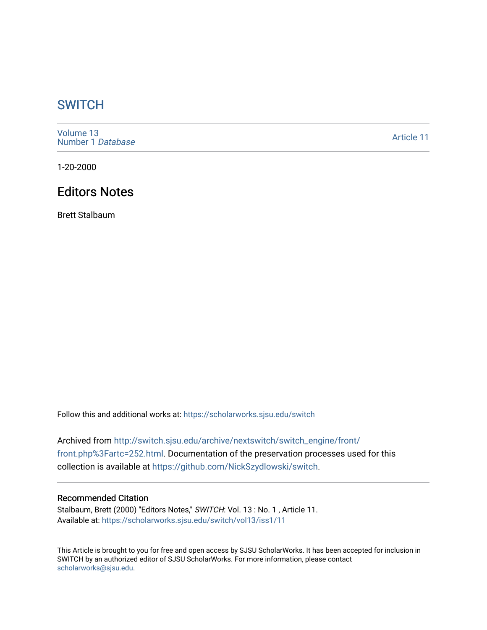## **SWITCH**

[Volume 13](https://scholarworks.sjsu.edu/switch/vol13) [Number 1](https://scholarworks.sjsu.edu/switch/vol13/iss1) Database

[Article 11](https://scholarworks.sjsu.edu/switch/vol13/iss1/11) 

1-20-2000

# Editors Notes

Brett Stalbaum

Follow this and additional works at: [https://scholarworks.sjsu.edu/switch](https://scholarworks.sjsu.edu/switch?utm_source=scholarworks.sjsu.edu%2Fswitch%2Fvol13%2Fiss1%2F11&utm_medium=PDF&utm_campaign=PDFCoverPages)

Archived from [http://switch.sjsu.edu/archive/nextswitch/switch\\_engine/front/](http://switch.sjsu.edu/archive/nextswitch/switch_engine/front/front.php%3Fartc=252.html) [front.php%3Fartc=252.html.](http://switch.sjsu.edu/archive/nextswitch/switch_engine/front/front.php%3Fartc=252.html) Documentation of the preservation processes used for this collection is available at [https://github.com/NickSzydlowski/switch.](https://github.com/NickSzydlowski/switch)

### Recommended Citation

Stalbaum, Brett (2000) "Editors Notes," SWITCH: Vol. 13 : No. 1 , Article 11. Available at: [https://scholarworks.sjsu.edu/switch/vol13/iss1/11](https://scholarworks.sjsu.edu/switch/vol13/iss1/11?utm_source=scholarworks.sjsu.edu%2Fswitch%2Fvol13%2Fiss1%2F11&utm_medium=PDF&utm_campaign=PDFCoverPages) 

This Article is brought to you for free and open access by SJSU ScholarWorks. It has been accepted for inclusion in SWITCH by an authorized editor of SJSU ScholarWorks. For more information, please contact [scholarworks@sjsu.edu](mailto:scholarworks@sjsu.edu).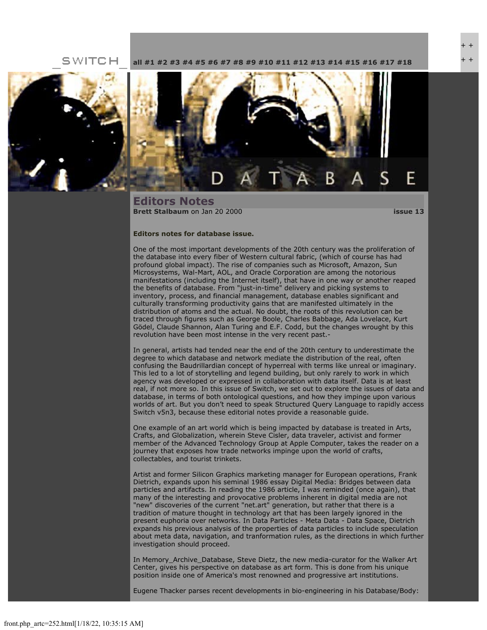**SWITCH** 

**[all](file:///Users/nszydlowski/Desktop/websites%20copy/Switch%20Journal/switch.sjsu.edu/archive/nextswitch/switch_engine/front/front.php.html) [#1](file:///Users/nszydlowski/Desktop/websites%20copy/Switch%20Journal/switch.sjsu.edu/archive/nextswitch/switch_engine/front/front.php_cat%3d5.html) [#2](file:///Users/nszydlowski/Desktop/websites%20copy/Switch%20Journal/switch.sjsu.edu/archive/nextswitch/switch_engine/front/front.php_cat%3d6.html) [#3](file:///Users/nszydlowski/Desktop/websites%20copy/Switch%20Journal/switch.sjsu.edu/archive/nextswitch/switch_engine/front/front.php_cat%3d7.html) [#4](file:///Users/nszydlowski/Desktop/websites%20copy/Switch%20Journal/switch.sjsu.edu/archive/nextswitch/switch_engine/front/front.php_cat%3d8.html) [#5](file:///Users/nszydlowski/Desktop/websites%20copy/Switch%20Journal/switch.sjsu.edu/archive/nextswitch/switch_engine/front/front.php_cat%3d9.html) [#6](file:///Users/nszydlowski/Desktop/websites%20copy/Switch%20Journal/switch.sjsu.edu/archive/nextswitch/switch_engine/front/front.php_cat%3d10.html) [#7](file:///Users/nszydlowski/Desktop/websites%20copy/Switch%20Journal/switch.sjsu.edu/archive/nextswitch/switch_engine/front/front.php_cat%3d11.html) [#8](file:///Users/nszydlowski/Desktop/websites%20copy/Switch%20Journal/switch.sjsu.edu/archive/nextswitch/switch_engine/front/front.php_cat%3d12.html) [#9](file:///Users/nszydlowski/Desktop/websites%20copy/Switch%20Journal/switch.sjsu.edu/archive/nextswitch/switch_engine/front/front.php_cat%3d13.html) [#10](file:///Users/nszydlowski/Desktop/websites%20copy/Switch%20Journal/switch.sjsu.edu/archive/nextswitch/switch_engine/front/front.php_cat%3d14.html) [#11](file:///Users/nszydlowski/Desktop/websites%20copy/Switch%20Journal/switch.sjsu.edu/archive/nextswitch/switch_engine/front/front.php_cat%3d15.html) [#12](file:///Users/nszydlowski/Desktop/websites%20copy/Switch%20Journal/switch.sjsu.edu/archive/nextswitch/switch_engine/front/front.php_cat%3d16.html) [#13](file:///Users/nszydlowski/Desktop/websites%20copy/Switch%20Journal/switch.sjsu.edu/archive/nextswitch/switch_engine/front/front.php_cat%3d17.html) [#14](file:///Users/nszydlowski/Desktop/websites%20copy/Switch%20Journal/switch.sjsu.edu/archive/nextswitch/switch_engine/front/front.php_cat%3d18.html) [#15](file:///Users/nszydlowski/Desktop/websites%20copy/Switch%20Journal/switch.sjsu.edu/archive/nextswitch/switch_engine/front/front.php_cat%3d19.html) [#16](file:///Users/nszydlowski/Desktop/websites%20copy/Switch%20Journal/switch.sjsu.edu/archive/nextswitch/switch_engine/front/front.php_cat%3d20.html) [#17](file:///Users/nszydlowski/Desktop/websites%20copy/Switch%20Journal/switch.sjsu.edu/archive/nextswitch/switch_engine/front/front.php_cat%3d21.html) [#18](file:///Users/nszydlowski/Desktop/websites%20copy/Switch%20Journal/switch.sjsu.edu/archive/nextswitch/switch_engine/front/front.php_cat%3d44.html)**





**Editors Notes [Brett Stalbaum](file:///Users/nszydlowski/Desktop/websites%20copy/Switch%20Journal/switch.sjsu.edu/archive/nextswitch/switch_engine/front/users.php_w%3d19.html)** on Jan 20 2000 **[issue 13](file:///Users/nszydlowski/Desktop/websites%20copy/Switch%20Journal/switch.sjsu.edu/archive/nextswitch/switch_engine/front/front.php_cat%3d17.html)**

#### **Editors notes for database issue.**

One of the most important developments of the 20th century was the proliferation of the database into every fiber of Western cultural fabric, (which of course has had profound global impact). The rise of companies such as Microsoft, Amazon, Sun Microsystems, Wal-Mart, AOL, and Oracle Corporation are among the notorious manifestations (including the Internet itself), that have in one way or another reaped the benefits of database. From "just-in-time" delivery and picking systems to inventory, process, and financial management, database enables significant and culturally transforming productivity gains that are manifested ultimately in the distribution of atoms and the actual. No doubt, the roots of this revolution can be traced through figures such as George Boole, Charles Babbage, Ada Lovelace, Kurt Gödel, Claude Shannon, Alan Turing and E.F. Codd, but the changes wrought by this revolution have been most intense in the very recent past.-

In general, artists had tended near the end of the 20th century to underestimate the degree to which database and network mediate the distribution of the real, often confusing the Baudrillardian concept of hyperreal with terms like unreal or imaginary. This led to a lot of storytelling and legend building, but only rarely to work in which agency was developed or expressed in collaboration with data itself. Data is at least real, if not more so. In this issue of Switch, we set out to explore the issues of data and database, in terms of both ontological questions, and how they impinge upon various worlds of art. But you don't need to speak Structured Query Language to rapidly access Switch v5n3, because these editorial notes provide a reasonable guide.

One example of an art world which is being impacted by database is treated in Arts, Crafts, and Globalization, wherein Steve Cisler, data traveler, activist and former member of the Advanced Technology Group at Apple Computer, takes the reader on a journey that exposes how trade networks impinge upon the world of crafts, collectables, and tourist trinkets.

Artist and former Silicon Graphics marketing manager for European operations, Frank Dietrich, expands upon his seminal 1986 essay Digital Media: Bridges between data particles and artifacts. In reading the 1986 article, I was reminded (once again), that many of the interesting and provocative problems inherent in digital media are not "new" discoveries of the current "net.art" generation, but rather that there is a tradition of mature thought in technology art that has been largely ignored in the present euphoria over networks. In Data Particles - Meta Data - Data Space, Dietrich expands his previous analysis of the properties of data particles to include speculation about meta data, navigation, and tranformation rules, as the directions in which further investigation should proceed.

In Memory\_Archive\_Database, Steve Dietz, the new media-curator for the Walker Art Center, gives his perspective on database as art form. This is done from his unique position inside one of America's most renowned and progressive art institutions.

Eugene Thacker parses recent developments in bio-engineering in his Database/Body: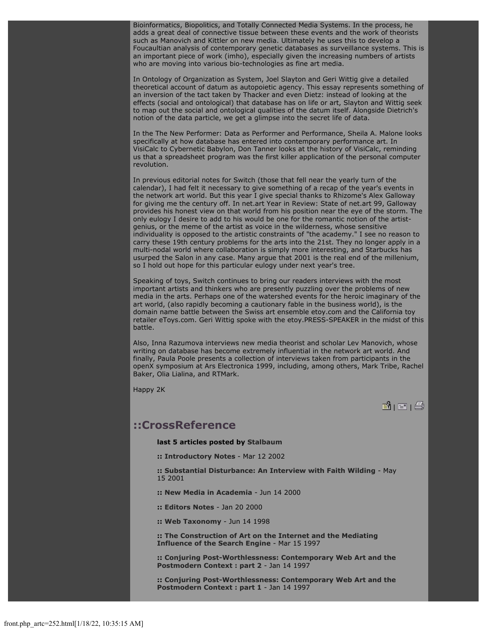Bioinformatics, Biopolitics, and Totally Connected Media Systems. In the process, he adds a great deal of connective tissue between these events and the work of theorists such as Manovich and Kittler on new media. Ultimately he uses this to develop a Foucaultian analysis of contemporary genetic databases as surveillance systems. This is an important piece of work (imho), especially given the increasing numbers of artists who are moving into various bio-technologies as fine art media.

In Ontology of Organization as System, Joel Slayton and Geri Wittig give a detailed theoretical account of datum as autopoietic agency. This essay represents something of an inversion of the tact taken by Thacker and even Dietz: instead of looking at the effects (social and ontological) that database has on life or art, Slayton and Wittig seek to map out the social and ontological qualities of the datum itself. Alongside Dietrich's notion of the data particle, we get a glimpse into the secret life of data.

In the The New Performer: Data as Performer and Performance, Sheila A. Malone looks specifically at how database has entered into contemporary performance art. In VisiCalc to Cybernetic Babylon, Don Tanner looks at the history of VisiCalc, reminding us that a spreadsheet program was the first killer application of the personal computer revolution.

In previous editorial notes for Switch (those that fell near the yearly turn of the calendar), I had felt it necessary to give something of a recap of the year's events in the network art world. But this year I give special thanks to Rhizome's Alex Galloway for giving me the century off. In net.art Year in Review: State of net.art 99, Galloway provides his honest view on that world from his position near the eye of the storm. The only eulogy I desire to add to his would be one for the romantic notion of the artistgenius, or the meme of the artist as voice in the wilderness, whose sensitive individuality is opposed to the artistic constraints of "the academy." I see no reason to carry these 19th century problems for the arts into the 21st. They no longer apply in a multi-nodal world where collaboration is simply more interesting, and Starbucks has usurped the Salon in any case. Many argue that 2001 is the real end of the millenium, so I hold out hope for this particular eulogy under next year's tree.

Speaking of toys, Switch continues to bring our readers interviews with the most important artists and thinkers who are presently puzzling over the problems of new media in the arts. Perhaps one of the watershed events for the heroic imaginary of the art world, (also rapidly becoming a cautionary fable in the business world), is the domain name battle between the Swiss art ensemble etoy.com and the California toy retailer eToys.com. Geri Wittig spoke with the etoy.PRESS-SPEAKER in the midst of this battle.

Also, Inna Razumova interviews new media theorist and scholar Lev Manovich, whose writing on database has become extremely influential in the network art world. And finally, Paula Poole presents a collection of interviews taken from participants in the openX symposium at Ars Electronica 1999, including, among others, Mark Tribe, Rachel Baker, Olia Lialina, and RTMark.

Happy 2K

**B** | E | ②

### **::CrossReference**

**last 5 articles posted by [Stalbaum](file:///Users/nszydlowski/Desktop/websites%20copy/Switch%20Journal/switch.sjsu.edu/archive/nextswitch/switch_engine/front/users.php_w%3d19.html)**

**:: [Introductory Notes](file:///Users/nszydlowski/Desktop/websites%20copy/Switch%20Journal/switch.sjsu.edu/archive/nextswitch/switch_engine/front/front.php_artc%3d239.html)** - Mar 12 2002

**:: [Substantial Disturbance: An Interview with Faith Wilding](file:///Users/nszydlowski/Desktop/websites%20copy/Switch%20Journal/switch.sjsu.edu/archive/nextswitch/switch_engine/front/front.php_artc%3d18.html)** - May 15 2001

**:: [New Media in Academia](file:///Users/nszydlowski/Desktop/websites%20copy/Switch%20Journal/switch.sjsu.edu/archive/nextswitch/switch_engine/front/front.php_artc%3d197.html)** - Jun 14 2000

**:: [Editors Notes](file:///Users/nszydlowski/Desktop/websites%20copy/Switch%20Journal/switch.sjsu.edu/archive/nextswitch/switch_engine/front/front.php_artc%3d252.html)** - Jan 20 2000

**:: [Web Taxonomy](file:///Users/nszydlowski/Desktop/websites%20copy/Switch%20Journal/switch.sjsu.edu/archive/nextswitch/switch_engine/front/front.php_artc%3d228.html)** - Jun 14 1998

**:: [The Construction of Art on the Internet and the Mediating](file:///Users/nszydlowski/Desktop/websites%20copy/Switch%20Journal/switch.sjsu.edu/archive/nextswitch/switch_engine/front/front.php_artc%3d55.html) [Influence of the Search Engine](file:///Users/nszydlowski/Desktop/websites%20copy/Switch%20Journal/switch.sjsu.edu/archive/nextswitch/switch_engine/front/front.php_artc%3d55.html)** - Mar 15 1997

**:: [Conjuring Post-Worthlessness: Contemporary Web Art and the](file:///Users/nszydlowski/Desktop/websites%20copy/Switch%20Journal/switch.sjsu.edu/archive/nextswitch/switch_engine/front/front.php_artc%3d265.html) [Postmodern Context : part 2](file:///Users/nszydlowski/Desktop/websites%20copy/Switch%20Journal/switch.sjsu.edu/archive/nextswitch/switch_engine/front/front.php_artc%3d265.html)** - Jan 14 1997

**:: [Conjuring Post-Worthlessness: Contemporary Web Art and the](file:///Users/nszydlowski/Desktop/websites%20copy/Switch%20Journal/switch.sjsu.edu/archive/nextswitch/switch_engine/front/front.php_artc%3d264.html) [Postmodern Context : part 1](file:///Users/nszydlowski/Desktop/websites%20copy/Switch%20Journal/switch.sjsu.edu/archive/nextswitch/switch_engine/front/front.php_artc%3d264.html)** - Jan 14 1997